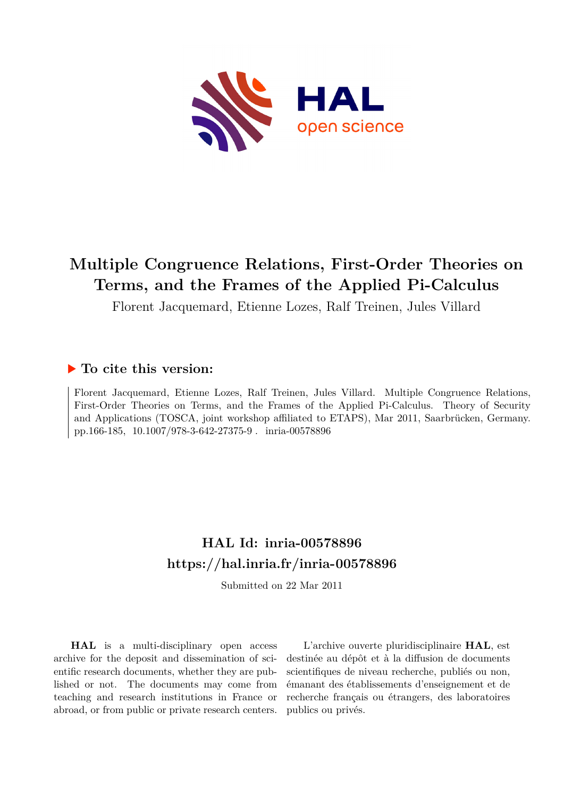

# **Multiple Congruence Relations, First-Order Theories on Terms, and the Frames of the Applied Pi-Calculus**

Florent Jacquemard, Etienne Lozes, Ralf Treinen, Jules Villard

# **To cite this version:**

Florent Jacquemard, Etienne Lozes, Ralf Treinen, Jules Villard. Multiple Congruence Relations, First-Order Theories on Terms, and the Frames of the Applied Pi-Calculus. Theory of Security and Applications (TOSCA, joint workshop affiliated to ETAPS), Mar 2011, Saarbrücken, Germany. pp.166-185, 10.1007/978-3-642-27375-9. inria-00578896

# **HAL Id: inria-00578896 <https://hal.inria.fr/inria-00578896>**

Submitted on 22 Mar 2011

**HAL** is a multi-disciplinary open access archive for the deposit and dissemination of scientific research documents, whether they are published or not. The documents may come from teaching and research institutions in France or abroad, or from public or private research centers.

L'archive ouverte pluridisciplinaire **HAL**, est destinée au dépôt et à la diffusion de documents scientifiques de niveau recherche, publiés ou non, émanant des établissements d'enseignement et de recherche français ou étrangers, des laboratoires publics ou privés.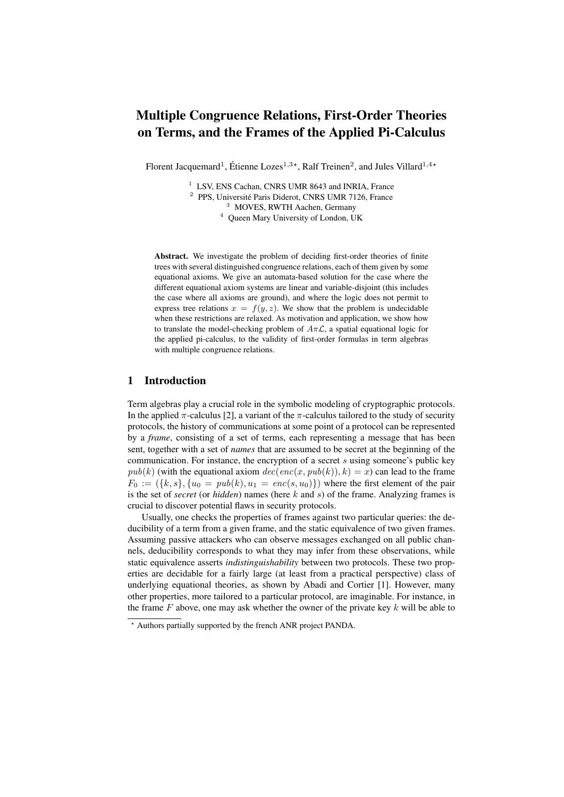# Multiple Congruence Relations, First-Order Theories on Terms, and the Frames of the Applied Pi-Calculus

Florent Jacquemard<sup>1</sup>, Étienne Lozes<sup>1,3\*</sup>, Ralf Treinen<sup>2</sup>, and Jules Villard<sup>1,4\*</sup>

<sup>1</sup> LSV, ENS Cachan, CNRS UMR 8643 and INRIA, France

<sup>2</sup> PPS, Université Paris Diderot, CNRS UMR 7126, France

<sup>3</sup> MOVES, RWTH Aachen, Germany

<sup>4</sup> Queen Mary University of London, UK

Abstract. We investigate the problem of deciding first-order theories of finite trees with several distinguished congruence relations, each of them given by some equational axioms. We give an automata-based solution for the case where the different equational axiom systems are linear and variable-disjoint (this includes the case where all axioms are ground), and where the logic does not permit to express tree relations  $x = f(y, z)$ . We show that the problem is undecidable when these restrictions are relaxed. As motivation and application, we show how to translate the model-checking problem of  $A\pi\mathcal{L}$ , a spatial equational logic for the applied pi-calculus, to the validity of first-order formulas in term algebras with multiple congruence relations.

# 1 Introduction

Term algebras play a crucial role in the symbolic modeling of cryptographic protocols. In the applied  $\pi$ -calculus [2], a variant of the  $\pi$ -calculus tailored to the study of security protocols, the history of communications at some point of a protocol can be represented by a *frame*, consisting of a set of terms, each representing a message that has been sent, together with a set of *names* that are assumed to be secret at the beginning of the communication. For instance, the encryption of a secret  $s$  using someone's public key  $pub(k)$  (with the equational axiom  $dec(enc(x, pub(k)), k) = x$ ) can lead to the frame  $F_0 := (\{k, s\}, \{u_0 = pub(k), u_1 = enc(s, u_0)\})$  where the first element of the pair is the set of *secret* (or *hidden*) names (here k and s) of the frame. Analyzing frames is crucial to discover potential flaws in security protocols.

Usually, one checks the properties of frames against two particular queries: the deducibility of a term from a given frame, and the static equivalence of two given frames. Assuming passive attackers who can observe messages exchanged on all public channels, deducibility corresponds to what they may infer from these observations, while static equivalence asserts *indistinguishability* between two protocols. These two properties are decidable for a fairly large (at least from a practical perspective) class of underlying equational theories, as shown by Abadi and Cortier [1]. However, many other properties, more tailored to a particular protocol, are imaginable. For instance, in the frame  $F$  above, one may ask whether the owner of the private key  $k$  will be able to

<sup>?</sup> Authors partially supported by the french ANR project PANDA.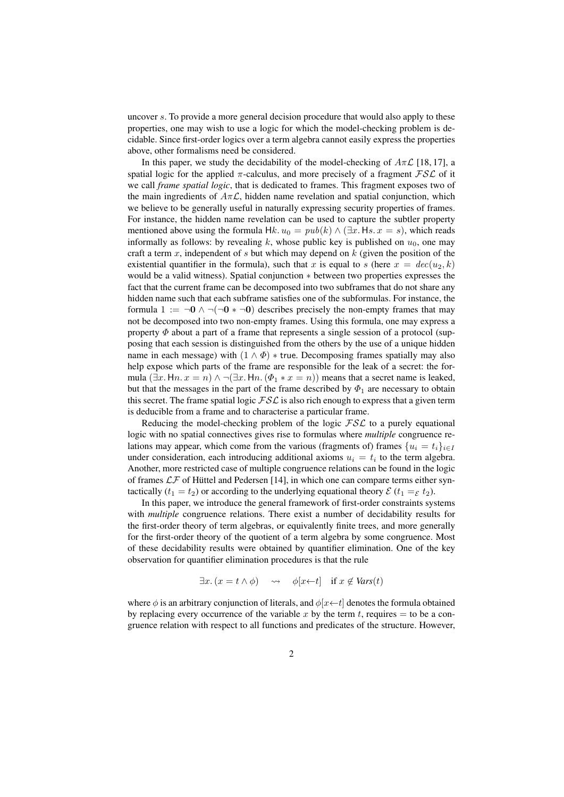uncover s. To provide a more general decision procedure that would also apply to these properties, one may wish to use a logic for which the model-checking problem is decidable. Since first-order logics over a term algebra cannot easily express the properties above, other formalisms need be considered.

In this paper, we study the decidability of the model-checking of  $A\pi\mathcal{L}$  [18, 17], a spatial logic for the applied  $\pi$ -calculus, and more precisely of a fragment  $\mathcal{FSL}$  of it we call *frame spatial logic*, that is dedicated to frames. This fragment exposes two of the main ingredients of  $A\pi\mathcal{L}$ , hidden name revelation and spatial conjunction, which we believe to be generally useful in naturally expressing security properties of frames. For instance, the hidden name revelation can be used to capture the subtler property mentioned above using the formula  $Hk$ .  $u_0 = pub(k) \wedge (\exists x. Hs. x = s)$ , which reads informally as follows: by revealing k, whose public key is published on  $u_0$ , one may craft a term  $x$ , independent of  $s$  but which may depend on  $k$  (given the position of the existential quantifier in the formula), such that x is equal to s (here  $x = dec(u_2, k)$ ) would be a valid witness). Spatial conjunction ∗ between two properties expresses the fact that the current frame can be decomposed into two subframes that do not share any hidden name such that each subframe satisfies one of the subformulas. For instance, the formula  $1 := \neg 0 \land \neg (\neg 0 * \neg 0)$  describes precisely the non-empty frames that may not be decomposed into two non-empty frames. Using this formula, one may express a property  $\Phi$  about a part of a frame that represents a single session of a protocol (supposing that each session is distinguished from the others by the use of a unique hidden name in each message) with  $(1 \wedge \Phi) *$  true. Decomposing frames spatially may also help expose which parts of the frame are responsible for the leak of a secret: the formula  $(\exists x. Hn. x = n) \land \neg (\exists x. Hn. (\Phi_1 * x = n))$  means that a secret name is leaked, but that the messages in the part of the frame described by  $\Phi_1$  are necessary to obtain this secret. The frame spatial logic  $\mathcal{FSL}$  is also rich enough to express that a given term is deducible from a frame and to characterise a particular frame.

Reducing the model-checking problem of the logic  $\mathcal{FSL}$  to a purely equational logic with no spatial connectives gives rise to formulas where *multiple* congruence relations may appear, which come from the various (fragments of) frames  $\{u_i = t_i\}_{i \in I}$ under consideration, each introducing additional axioms  $u_i = t_i$  to the term algebra. Another, more restricted case of multiple congruence relations can be found in the logic of frames  $\mathcal{LF}$  of Hüttel and Pedersen [14], in which one can compare terms either syntactically  $(t_1 = t_2)$  or according to the underlying equational theory  $\mathcal{E}(t_1 =_{\mathcal{E}} t_2)$ .

In this paper, we introduce the general framework of first-order constraints systems with *multiple* congruence relations. There exist a number of decidability results for the first-order theory of term algebras, or equivalently finite trees, and more generally for the first-order theory of the quotient of a term algebra by some congruence. Most of these decidability results were obtained by quantifier elimination. One of the key observation for quantifier elimination procedures is that the rule

$$
\exists x. (x = t \land \phi) \quad \leadsto \quad \phi[x \leftarrow t] \quad \text{if } x \notin \text{Vars}(t)
$$

where  $\phi$  is an arbitrary conjunction of literals, and  $\phi[x \leftarrow t]$  denotes the formula obtained by replacing every occurrence of the variable x by the term t, requires  $=$  to be a congruence relation with respect to all functions and predicates of the structure. However,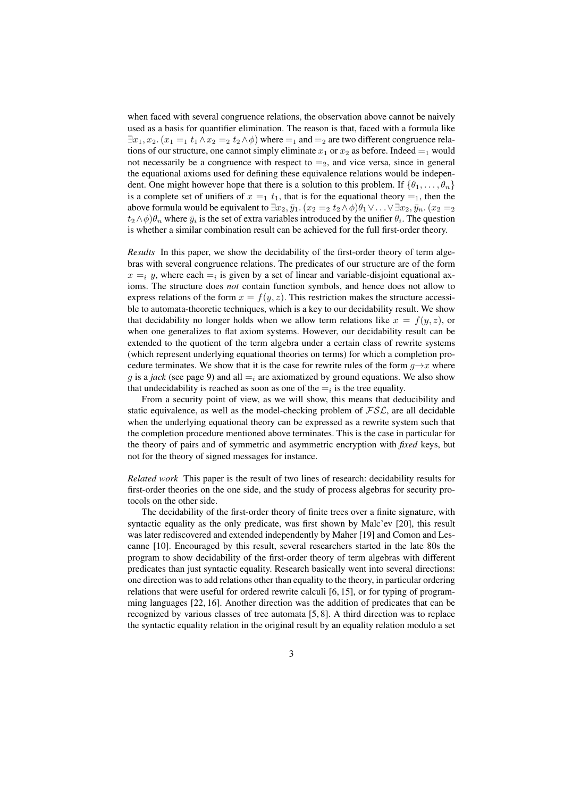when faced with several congruence relations, the observation above cannot be naively used as a basis for quantifier elimination. The reason is that, faced with a formula like  $\exists x_1, x_2. (x_1 =_1 t_1 \land x_2 =_2 t_2 \land \phi)$  where  $=_1$  and  $=_2$  are two different congruence relations of our structure, one cannot simply eliminate  $x_1$  or  $x_2$  as before. Indeed  $=_1$  would not necessarily be a congruence with respect to  $=_2$ , and vice versa, since in general the equational axioms used for defining these equivalence relations would be independent. One might however hope that there is a solution to this problem. If  $\{\theta_1, \ldots, \theta_n\}$ is a complete set of unifiers of  $x =_1 t_1$ , that is for the equational theory  $=_1$ , then the above formula would be equivalent to  $\exists x_2, \bar{y}_1.$   $(x_2 =_2 t_2 \wedge \phi)\theta_1 \vee \ldots \vee \exists x_2, \bar{y}_n.$   $(x_2 =_2$  $t_2 \wedge \phi$ ) $\theta_n$  where  $\bar{y}_i$  is the set of extra variables introduced by the unifier  $\theta_i$ . The question is whether a similar combination result can be achieved for the full first-order theory.

*Results* In this paper, we show the decidability of the first-order theory of term algebras with several congruence relations. The predicates of our structure are of the form  $x =_i y$ , where each  $=$  is given by a set of linear and variable-disjoint equational axioms. The structure does *not* contain function symbols, and hence does not allow to express relations of the form  $x = f(y, z)$ . This restriction makes the structure accessible to automata-theoretic techniques, which is a key to our decidability result. We show that decidability no longer holds when we allow term relations like  $x = f(y, z)$ , or when one generalizes to flat axiom systems. However, our decidability result can be extended to the quotient of the term algebra under a certain class of rewrite systems (which represent underlying equational theories on terms) for which a completion procedure terminates. We show that it is the case for rewrite rules of the form  $g \rightarrow x$  where q is a *jack* (see page 9) and all  $=$ <sub>i</sub> are axiomatized by ground equations. We also show that undecidability is reached as soon as one of the  $=$ <sub>i</sub> is the tree equality.

From a security point of view, as we will show, this means that deducibility and static equivalence, as well as the model-checking problem of  $\mathcal{FSL}$ , are all decidable when the underlying equational theory can be expressed as a rewrite system such that the completion procedure mentioned above terminates. This is the case in particular for the theory of pairs and of symmetric and asymmetric encryption with *fixed* keys, but not for the theory of signed messages for instance.

*Related work* This paper is the result of two lines of research: decidability results for first-order theories on the one side, and the study of process algebras for security protocols on the other side.

The decidability of the first-order theory of finite trees over a finite signature, with syntactic equality as the only predicate, was first shown by Malc'ev [20], this result was later rediscovered and extended independently by Maher [19] and Comon and Lescanne [10]. Encouraged by this result, several researchers started in the late 80s the program to show decidability of the first-order theory of term algebras with different predicates than just syntactic equality. Research basically went into several directions: one direction was to add relations other than equality to the theory, in particular ordering relations that were useful for ordered rewrite calculi [6, 15], or for typing of programming languages [22, 16]. Another direction was the addition of predicates that can be recognized by various classes of tree automata [5, 8]. A third direction was to replace the syntactic equality relation in the original result by an equality relation modulo a set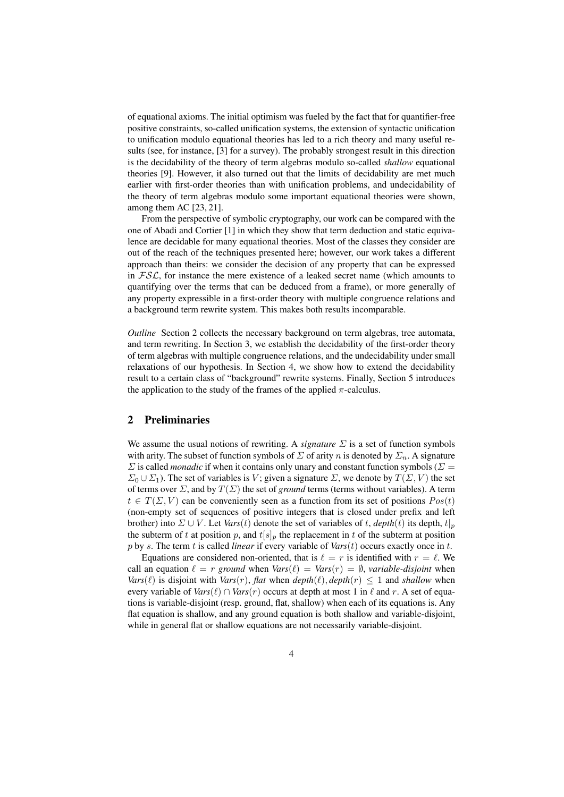of equational axioms. The initial optimism was fueled by the fact that for quantifier-free positive constraints, so-called unification systems, the extension of syntactic unification to unification modulo equational theories has led to a rich theory and many useful results (see, for instance, [3] for a survey). The probably strongest result in this direction is the decidability of the theory of term algebras modulo so-called *shallow* equational theories [9]. However, it also turned out that the limits of decidability are met much earlier with first-order theories than with unification problems, and undecidability of the theory of term algebras modulo some important equational theories were shown, among them AC [23, 21].

From the perspective of symbolic cryptography, our work can be compared with the one of Abadi and Cortier [1] in which they show that term deduction and static equivalence are decidable for many equational theories. Most of the classes they consider are out of the reach of the techniques presented here; however, our work takes a different approach than theirs: we consider the decision of any property that can be expressed in  $FSL$ , for instance the mere existence of a leaked secret name (which amounts to quantifying over the terms that can be deduced from a frame), or more generally of any property expressible in a first-order theory with multiple congruence relations and a background term rewrite system. This makes both results incomparable.

*Outline* Section 2 collects the necessary background on term algebras, tree automata, and term rewriting. In Section 3, we establish the decidability of the first-order theory of term algebras with multiple congruence relations, and the undecidability under small relaxations of our hypothesis. In Section 4, we show how to extend the decidability result to a certain class of "background" rewrite systems. Finally, Section 5 introduces the application to the study of the frames of the applied  $\pi$ -calculus.

# 2 Preliminaries

We assume the usual notions of rewriting. A *signature* Σ is a set of function symbols with arity. The subset of function symbols of  $\Sigma$  of arity n is denoted by  $\Sigma_n$ . A signature  $\Sigma$  is called *monadic* if when it contains only unary and constant function symbols ( $\Sigma$  =  $\Sigma_0 \cup \Sigma_1$ ). The set of variables is V; given a signature  $\Sigma$ , we denote by  $T(\Sigma, V)$  the set of terms over  $\Sigma$ , and by  $T(\Sigma)$  the set of *ground* terms (terms without variables). A term  $t \in T(\Sigma, V)$  can be conveniently seen as a function from its set of positions  $Pos(t)$ (non-empty set of sequences of positive integers that is closed under prefix and left brother) into  $\Sigma \cup V$ . Let *Vars*(*t*) denote the set of variables of *t*, *depth*(*t*) its depth,  $t|_p$ the subterm of t at position p, and  $t[s]_p$  the replacement in t of the subterm at position p by s. The term t is called *linear* if every variable of *Vars*(t) occurs exactly once in t.

Equations are considered non-oriented, that is  $\ell = r$  is identified with  $r = \ell$ . We call an equation  $\ell = r$  *ground* when  $Vars(\ell) = Vars(r) = \emptyset$ , *variable-disjoint* when *Vars*( $\ell$ ) is disjoint with *Vars*(*r*), *flat* when *depth*( $\ell$ ), *depth*( $r$ )  $\leq 1$  and *shallow* when every variable of  $Vars(\ell) \cap Vars(r)$  occurs at depth at most 1 in  $\ell$  and r. A set of equations is variable-disjoint (resp. ground, flat, shallow) when each of its equations is. Any flat equation is shallow, and any ground equation is both shallow and variable-disjoint, while in general flat or shallow equations are not necessarily variable-disjoint.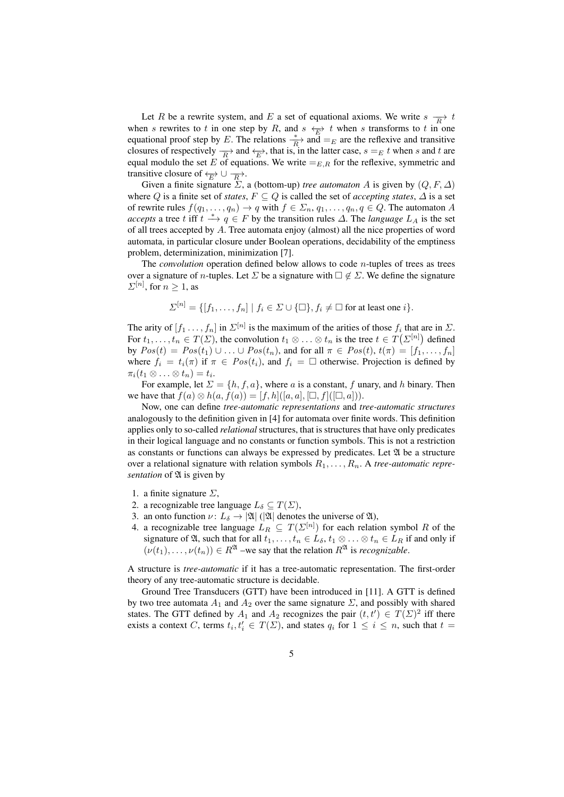Let R be a rewrite system, and E a set of equational axioms. We write  $s \frac{\longrightarrow}{R} t$ when s rewrites to t in one step by R, and  $s \leftarrow E$  t when s transforms to t in one equational proof step by E. The relations  $\frac{*}{R}$  and  $=$ <sub>E</sub> are the reflexive and transitive closures of respectively  $\frac{\ }{R}$  and  $\leftarrow_E$ , that is, in the latter case,  $s =_E t$  when s and t are equal modulo the set E of equations. We write  $=_{E,R}$  for the reflexive, symmetric and transitive closure of  $\leftarrow_{E} \cup \rightarrow$ .

Given a finite signature  $\Sigma$ , a (bottom-up) *tree automaton* A is given by  $(Q, F, \Delta)$ where Q is a finite set of *states*,  $F \subseteq Q$  is called the set of *accepting states*,  $\Delta$  is a set of rewrite rules  $f(q_1, \ldots, q_n) \to q$  with  $f \in \Sigma_n, q_1, \ldots, q_n, q \in Q$ . The automaton A *accepts* a tree t iff  $t \stackrel{*}{\longrightarrow} q \in F$  by the transition rules  $\Delta$ . The *language*  $L_A$  is the set of all trees accepted by A. Tree automata enjoy (almost) all the nice properties of word automata, in particular closure under Boolean operations, decidability of the emptiness problem, determinization, minimization [7].

The *convolution* operation defined below allows to code *n*-tuples of trees as trees over a signature of *n*-tuples. Let  $\Sigma$  be a signature with  $\Box \notin \Sigma$ . We define the signature  $\Sigma^{[n]}$ , for  $n \geq 1$ , as

$$
\Sigma^{[n]} = \{ [f_1, \ldots, f_n] \mid f_i \in \Sigma \cup \{ \square \}, f_i \neq \square \text{ for at least one } i \}.
$$

The arity of  $[f_1 \dots, f_n]$  in  $\Sigma^{[n]}$  is the maximum of the arities of those  $f_i$  that are in  $\Sigma$ . For  $t_1, \ldots, t_n \in T(\Sigma)$ , the convolution  $t_1 \otimes \ldots \otimes t_n$  is the tree  $t \in T(\Sigma^{[n]})$  defined by  $Pos(t) = Pos(t_1) \cup ... \cup Pos(t_n)$ , and for all  $\pi \in Pos(t)$ ,  $t(\pi) = [f_1, ..., f_n]$ where  $f_i = t_i(\pi)$  if  $\pi \in Pos(t_i)$ , and  $f_i = \Box$  otherwise. Projection is defined by  $\pi_i(t_1\otimes\ldots\otimes t_n)=t_i.$ 

For example, let  $\Sigma = \{h, f, a\}$ , where a is a constant, f unary, and h binary. Then we have that  $f(a) \otimes h(a, f(a)) = [f, h]([a, a], \Box, f]([\Box, a]))$ .

Now, one can define *tree-automatic representations* and *tree-automatic structures* analogously to the definition given in [4] for automata over finite words. This definition applies only to so-called *relational* structures, that is structures that have only predicates in their logical language and no constants or function symbols. This is not a restriction as constants or functions can always be expressed by predicates. Let  $\mathfrak A$  be a structure over a relational signature with relation symbols  $R_1, \ldots, R_n$ . A *tree-automatic representation* of  $\mathfrak A$  is given by

- 1. a finite signature  $\Sigma$ ,
- 2. a recognizable tree language  $L_{\delta} \subseteq T(\Sigma)$ ,
- 3. an onto function  $\nu: L_{\delta} \to |\mathfrak{A}|$  ( $|\mathfrak{A}|$  denotes the universe of  $\mathfrak{A}$ ),
- 4. a recognizable tree language  $L_R \subseteq T(\Sigma^{[n]})$  for each relation symbol R of the signature of  $\mathfrak A$ , such that for all  $t_1, \ldots, t_n \in L_\delta, t_1 \otimes \ldots \otimes t_n \in L_R$  if and only if  $(\nu(t_1), \ldots, \nu(t_n)) \in R^{\mathfrak{A}}$  –we say that the relation  $R^{\mathfrak{A}}$  is *recognizable*.

A structure is *tree-automatic* if it has a tree-automatic representation. The first-order theory of any tree-automatic structure is decidable.

Ground Tree Transducers (GTT) have been introduced in [11]. A GTT is defined by two tree automata  $A_1$  and  $A_2$  over the same signature  $\Sigma$ , and possibly with shared states. The GTT defined by  $A_1$  and  $A_2$  recognizes the pair  $(t, t') \in T(\Sigma)^2$  iff there exists a context C, terms  $t_i, t'_i \in T(\Sigma)$ , and states  $q_i$  for  $1 \leq i \leq n$ , such that  $t =$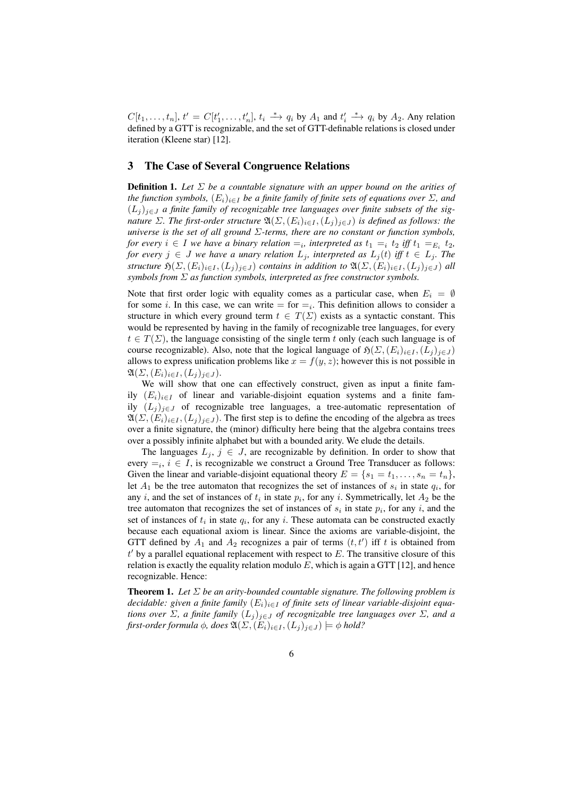$C[t_1,\ldots,t_n], t' = C[t'_1,\ldots,t'_n], t_i \stackrel{*}{\longrightarrow} q_i$  by  $A_1$  and  $t'_i \stackrel{*}{\longrightarrow} q_i$  by  $A_2$ . Any relation defined by a GTT is recognizable, and the set of GTT-definable relations is closed under iteration (Kleene star) [12].

## 3 The Case of Several Congruence Relations

**Definition 1.** Let  $\Sigma$  be a countable signature with an upper bound on the arities of *the function symbols,*  $(E_i)_{i \in I}$  *be a finite family of finite sets of equations over*  $\Sigma$ *, and*  $(L_i)_{i \in J}$  *a finite family of recognizable tree languages over finite subsets of the signature*  $\Sigma$ *. The first-order structure*  $\mathfrak{A}(\Sigma, (E_i)_{i \in I}, (L_j)_{j \in J})$  *is defined as follows: the universe is the set of all ground* Σ*-terms, there are no constant or function symbols, for every*  $i \in I$  *we have a binary relation*  $=_i$ *, interpreted as*  $t_1 =_i t_2$  *iff*  $t_1 =_{E_i} t_2$ *, for every*  $j \in J$  *we have a unary relation*  $L_j$ *, interpreted as*  $L_j(t)$  *iff*  $t \in L_j$ *. The structure*  $\mathfrak{H}(\Sigma,(E_i)_{i\in I},(L_i)_{i\in J})$  *contains in addition to*  $\mathfrak{A}(\Sigma,(E_i)_{i\in I},(L_i)_{i\in J})$  *all symbols from* Σ *as function symbols, interpreted as free constructor symbols.*

Note that first order logic with equality comes as a particular case, when  $E_i = \emptyset$ for some *i*. In this case, we can write  $=$  for  $=_i$ . This definition allows to consider a structure in which every ground term  $t \in T(\Sigma)$  exists as a syntactic constant. This would be represented by having in the family of recognizable tree languages, for every  $t \in T(\Sigma)$ , the language consisting of the single term t only (each such language is of course recognizable). Also, note that the logical language of  $\mathfrak{H}(\Sigma,(E_i)_{i\in I},(L_i)_{i\in J})$ allows to express unification problems like  $x = f(y, z)$ ; however this is not possible in  $\mathfrak{A}(\Sigma,(E_i)_{i\in I},(L_i)_{i\in J}).$ 

We will show that one can effectively construct, given as input a finite family  $(E_i)_{i \in I}$  of linear and variable-disjoint equation systems and a finite family  $(L_j)_{j\in J}$  of recognizable tree languages, a tree-automatic representation of  $\mathfrak{A}(\Sigma,(E_i)_{i\in I},(L_i)_{i\in J})$ . The first step is to define the encoding of the algebra as trees over a finite signature, the (minor) difficulty here being that the algebra contains trees over a possibly infinite alphabet but with a bounded arity. We elude the details.

The languages  $L_j$ ,  $j \in J$ , are recognizable by definition. In order to show that every  $=_i$ ,  $i \in I$ , is recognizable we construct a Ground Tree Transducer as follows: Given the linear and variable-disjoint equational theory  $E = \{s_1 = t_1, \ldots, s_n = t_n\}$ , let  $A_1$  be the tree automaton that recognizes the set of instances of  $s_i$  in state  $q_i$ , for any *i*, and the set of instances of  $t_i$  in state  $p_i$ , for any *i*. Symmetrically, let  $A_2$  be the tree automaton that recognizes the set of instances of  $s_i$  in state  $p_i$ , for any i, and the set of instances of  $t_i$  in state  $q_i$ , for any i. These automata can be constructed exactly because each equational axiom is linear. Since the axioms are variable-disjoint, the GTT defined by  $A_1$  and  $A_2$  recognizes a pair of terms  $(t, t')$  iff t is obtained from  $t'$  by a parallel equational replacement with respect to  $E$ . The transitive closure of this relation is exactly the equality relation modulo  $E$ , which is again a GTT [12], and hence recognizable. Hence:

**Theorem 1.** Let  $\Sigma$  be an arity-bounded countable signature. The following problem is *decidable: given a finite family*  $(E_i)_{i \in I}$  *of finite sets of linear variable-disjoint equations over*  $\Sigma$ , a finite family  $(L_j)_{j\in J}$  of recognizable tree languages over  $\Sigma$ , and a *first-order formula*  $\phi$ *, does*  $\mathfrak{A}(\Sigma, (E_i)_{i \in I}, (L_j)_{j \in J}) \models \phi$  *hold*?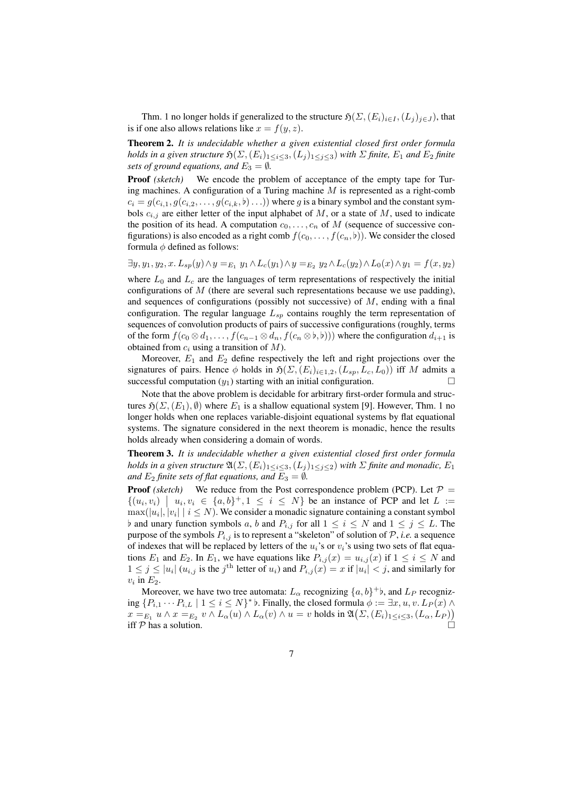Thm. 1 no longer holds if generalized to the structure  $\mathfrak{H}(\Sigma,(E_i)_{i\in I},(L_j)_{j\in J})$ , that is if one also allows relations like  $x = f(y, z)$ .

Theorem 2. *It is undecidable whether a given existential closed first order formula holds in a given structure*  $\mathfrak{H}(\Sigma,(E_i)_{1\leq i\leq 3},(L_j)_{1\leq j\leq 3})$  *with*  $\Sigma$  *finite*,  $E_1$  *and*  $E_2$  *finite sets of ground equations, and*  $E_3 = \emptyset$ *.* 

Proof *(sketch)* We encode the problem of acceptance of the empty tape for Turing machines. A configuration of a Turing machine  $M$  is represented as a right-comb  $c_i = g(c_{i,1}, g(c_{i,2}, \ldots, g(c_{i,k}, b) \ldots))$  where g is a binary symbol and the constant symbols  $c_{i,j}$  are either letter of the input alphabet of M, or a state of M, used to indicate the position of its head. A computation  $c_0, \ldots, c_n$  of M (sequence of successive configurations) is also encoded as a right comb  $f(c_0, \ldots, f(c_n, b))$ . We consider the closed formula  $\phi$  defined as follows:

 $\exists y, y_1, y_2, x. L_{sp}(y) \wedge y =_{E_1} y_1 \wedge L_c(y_1) \wedge y =_{E_2} y_2 \wedge L_c(y_2) \wedge L_0(x) \wedge y_1 = f(x, y_2)$ 

where  $L_0$  and  $L_c$  are the languages of term representations of respectively the initial configurations of  $M$  (there are several such representations because we use padding), and sequences of configurations (possibly not successive) of  $M$ , ending with a final configuration. The regular language  $L_{sp}$  contains roughly the term representation of sequences of convolution products of pairs of successive configurations (roughly, terms of the form  $f(c_0 \otimes d_1, \ldots, f(c_{n-1} \otimes d_n, f(c_n \otimes b, b)))$  where the configuration  $d_{i+1}$  is obtained from  $c_i$  using a transition of M).

Moreover,  $E_1$  and  $E_2$  define respectively the left and right projections over the signatures of pairs. Hence φ holds in  $\mathfrak{H}(\Sigma,(E_i)_{i\in 1,2},(L_{sp}, L_c, L_0))$  iff M admits a successful computation  $(y_1)$  starting with an initial configuration.

Note that the above problem is decidable for arbitrary first-order formula and structures  $\mathfrak{H}(\Sigma,(E_1),\emptyset)$  where  $E_1$  is a shallow equational system [9]. However, Thm. 1 no longer holds when one replaces variable-disjoint equational systems by flat equational systems. The signature considered in the next theorem is monadic, hence the results holds already when considering a domain of words.

Theorem 3. *It is undecidable whether a given existential closed first order formula holds in a given structure*  $\mathfrak{A}(\Sigma, (E_i)_{1 \leq i \leq 3}, (L_j)_{1 \leq j \leq 2})$  *with*  $\Sigma$  *finite and monadic,*  $E_1$ *and*  $E_2$  *finite sets of flat equations, and*  $E_3 = \emptyset$ *.* 

**Proof** (sketch) We reduce from the Post correspondence problem (PCP). Let  $P =$  $\{(u_i, v_i) \mid u_i, v_i \in \{a, b\}^+, 1 \leq i \leq N\}$  be an instance of PCP and let  $L :=$  $\max(|u_i|, |v_i| \mid i \leq N).$  We consider a monadic signature containing a constant symbol b and unary function symbols a, b and  $P_{i,j}$  for all  $1 \leq i \leq N$  and  $1 \leq j \leq L$ . The purpose of the symbols  $P_{i,j}$  is to represent a "skeleton" of solution of  $P$ , *i.e.* a sequence of indexes that will be replaced by letters of the  $u_i$ 's or  $v_i$ 's using two sets of flat equations  $E_1$  and  $E_2$ . In  $E_1$ , we have equations like  $P_{i,j}(x) = u_{i,j}(x)$  if  $1 \le i \le N$  and  $1 \leq j \leq |u_i|$   $(u_{i,j}$  is the  $j^{\text{th}}$  letter of  $u_i$ ) and  $P_{i,j}(x) = x$  if  $|u_i| < j$ , and similarly for  $v_i$  in  $E_2$ .

Moreover, we have two tree automata:  $L_{\alpha}$  recognizing  $\{a, b\}^+$ , and  $L_P$  recognizing  $\{P_{i,1}\cdots P_{i,L} \mid 1 \leq i \leq N\}$ <sup>\*</sup>  $\flat$ . Finally, the closed formula  $\phi := \exists x, u, v.$   $L_P(x) \land$  $x =_{E_1} u \wedge x =_{E_2} v \wedge L_\alpha(u) \wedge L_\alpha(v) \wedge u = v$  holds in  $\mathfrak{A}(\Sigma, (E_i)_{1 \leq i \leq 3}, (L_\alpha, L_P))$ iff  $P$  has a solution.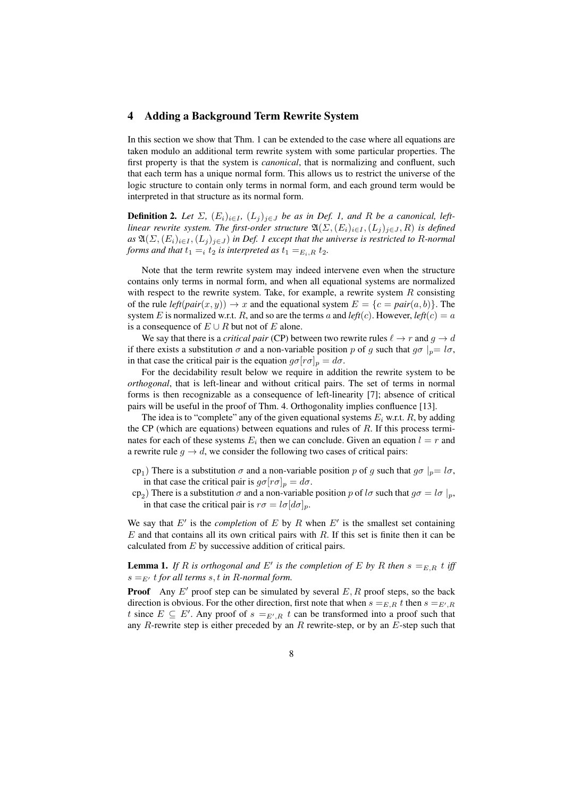## 4 Adding a Background Term Rewrite System

In this section we show that Thm. 1 can be extended to the case where all equations are taken modulo an additional term rewrite system with some particular properties. The first property is that the system is *canonical*, that is normalizing and confluent, such that each term has a unique normal form. This allows us to restrict the universe of the logic structure to contain only terms in normal form, and each ground term would be interpreted in that structure as its normal form.

**Definition 2.** Let  $\Sigma$ ,  $(E_i)_{i \in I}$ ,  $(L_j)_{j \in J}$  be as in Def. 1, and R be a canonical, left*linear rewrite system. The first-order structure*  $\mathfrak{A}(\Sigma, (E_i)_{i \in I}, (L_j)_{j \in J}, R)$  *is defined*  $as \mathfrak{A}(\Sigma,(E_i)_{i\in I},(L_j)_{j\in J})$  *in Def. 1 except that the universe is restricted to R-normal forms and that*  $t_1 = i t_2$  *is interpreted as*  $t_1 = E_i, R \, t_2$ *.* 

Note that the term rewrite system may indeed intervene even when the structure contains only terms in normal form, and when all equational systems are normalized with respect to the rewrite system. Take, for example, a rewrite system  $R$  consisting of the rule  $left(pair(x, y)) \rightarrow x$  and the equational system  $E = \{c = pair(a, b)\}\$ . The system E is normalized w.r.t. R, and so are the terms a and  $left(c$ ). However,  $left(c\right) = a$ is a consequence of  $E \cup R$  but not of E alone.

We say that there is a *critical pair* (CP) between two rewrite rules  $\ell \to r$  and  $q \to d$ if there exists a substitution  $\sigma$  and a non-variable position p of g such that  $g\sigma|_{p}=l\sigma$ , in that case the critical pair is the equation  $g\sigma[r\sigma]_p = d\sigma$ .

For the decidability result below we require in addition the rewrite system to be *orthogonal*, that is left-linear and without critical pairs. The set of terms in normal forms is then recognizable as a consequence of left-linearity [7]; absence of critical pairs will be useful in the proof of Thm. 4. Orthogonality implies confluence [13].

The idea is to "complete" any of the given equational systems  $E_i$  w.r.t.  $R$ , by adding the CP (which are equations) between equations and rules of  $R$ . If this process terminates for each of these systems  $E_i$  then we can conclude. Given an equation  $l = r$  and a rewrite rule  $q \to d$ , we consider the following two cases of critical pairs:

- cp<sub>1</sub>) There is a substitution  $\sigma$  and a non-variable position p of g such that  $g\sigma|_{p}=l\sigma$ , in that case the critical pair is  $g\sigma[r\sigma]_p = d\sigma$ .
- cp<sub>2</sub>) There is a substitution  $\sigma$  and a non-variable position p of  $l\sigma$  such that  $g\sigma = l\sigma |_{p}$ , in that case the critical pair is  $r\sigma = l\sigma [d\sigma]_p$ .

We say that  $E'$  is the *completion* of  $E$  by  $R$  when  $E'$  is the smallest set containing  $E$  and that contains all its own critical pairs with  $R$ . If this set is finite then it can be calculated from  $E$  by successive addition of critical pairs.

**Lemma 1.** If R is orthogonal and E' is the completion of E by R then  $s =_{E,R} t$  iff  $s =_{E'} t$  *for all terms s, t in R-normal form.* 

**Proof** Any  $E'$  proof step can be simulated by several  $E, R$  proof steps, so the back direction is obvious. For the other direction, first note that when  $s =_{E,R} t$  then  $s =_{E',R}$ t since  $E \subseteq E'$ . Any proof of  $s =_{E',R} t$  can be transformed into a proof such that any  $R$ -rewrite step is either preceded by an  $R$  rewrite-step, or by an  $E$ -step such that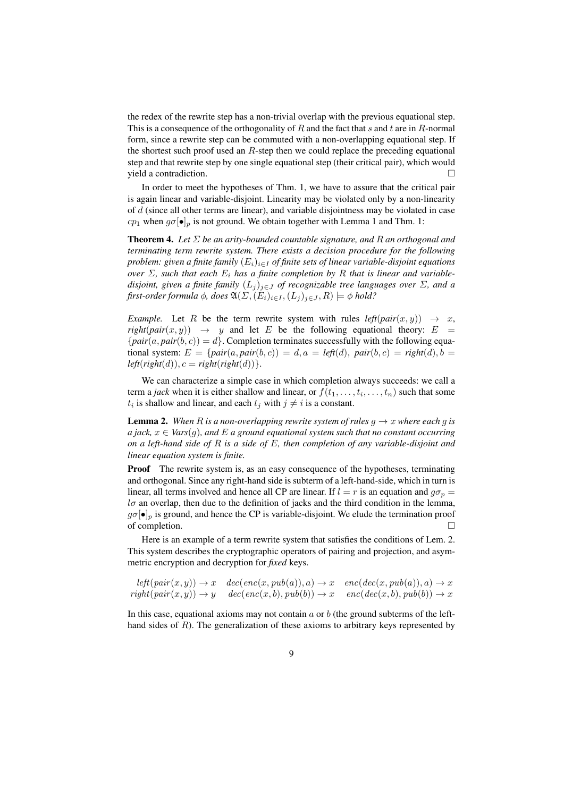the redex of the rewrite step has a non-trivial overlap with the previous equational step. This is a consequence of the orthogonality of R and the fact that s and t are in R-normal form, since a rewrite step can be commuted with a non-overlapping equational step. If the shortest such proof used an R-step then we could replace the preceding equational step and that rewrite step by one single equational step (their critical pair), which would yield a contradiction.

In order to meet the hypotheses of Thm. 1, we have to assure that the critical pair is again linear and variable-disjoint. Linearity may be violated only by a non-linearity of  $d$  (since all other terms are linear), and variable disjointness may be violated in case  $cp_1$  when  $g\sigma[\bullet]_p$  is not ground. We obtain together with Lemma 1 and Thm. 1:

Theorem 4. *Let* Σ *be an arity-bounded countable signature, and* R *an orthogonal and terminating term rewrite system. There exists a decision procedure for the following problem: given a finite family*  $(E_i)_{i \in I}$  *of finite sets of linear variable-disjoint equations over*  $\Sigma$ , such that each  $E_i$  has a finite completion by R that is linear and variable*disjoint, given a finite family*  $(L_i)_{i \in J}$  *of recognizable tree languages over*  $\Sigma$ *, and a first-order formula*  $\phi$ *, does*  $\mathfrak{A}(\Sigma, (E_i)_{i \in I}, (L_i)_{i \in J}, R) \models \phi$  *hold?* 

*Example.* Let R be the term rewrite system with rules  $left(\text{pair}(x, y) \rightarrow x$ ,  $right(pair(x, y)) \rightarrow y$  and let E be the following equational theory: E  ${pair(a, pair(b, c)) = d}$ . Completion terminates successfully with the following equational system:  $E = \{pair(a, pair(b, c)) = d, a = left(d), pair(b, c) = right(d), b =$  $left($ *right* $(d)$ ),  $c = right($ *right* $(d)$ ) }.

We can characterize a simple case in which completion always succeeds: we call a term a *jack* when it is either shallow and linear, or  $f(t_1, \ldots, t_i, \ldots, t_n)$  such that some  $t_i$  is shallow and linear, and each  $t_j$  with  $j \neq i$  is a constant.

**Lemma 2.** When R *is a non-overlapping rewrite system of rules*  $g \rightarrow x$  *where each* g *is a jack,*  $x \in \text{Vars}(q)$ , and E *a ground equational system such that no constant occurring on a left-hand side of* R *is a side of* E*, then completion of any variable-disjoint and linear equation system is finite.*

**Proof** The rewrite system is, as an easy consequence of the hypotheses, terminating and orthogonal. Since any right-hand side is subterm of a left-hand-side, which in turn is linear, all terms involved and hence all CP are linear. If  $l = r$  is an equation and  $g\sigma_p =$  $l\sigma$  an overlap, then due to the definition of jacks and the third condition in the lemma,  $g\sigma[\bullet]_p$  is ground, and hence the CP is variable-disjoint. We elude the termination proof of completion.

Here is an example of a term rewrite system that satisfies the conditions of Lem. 2. This system describes the cryptographic operators of pairing and projection, and asymmetric encryption and decryption for *fixed* keys.

$$
left(pair(x, y)) \rightarrow x \quad dec(enc(x, pub(a)), a) \rightarrow x \quad enc(dec(x, pub(a)), a) \rightarrow x
$$
  
right(pair(x, y)) \rightarrow y \quad dec(enc(x, b), pub(b)) \rightarrow x \quad enc(dec(x, b), pub(b)) \rightarrow x

In this case, equational axioms may not contain  $a$  or  $b$  (the ground subterms of the lefthand sides of R). The generalization of these axioms to arbitrary keys represented by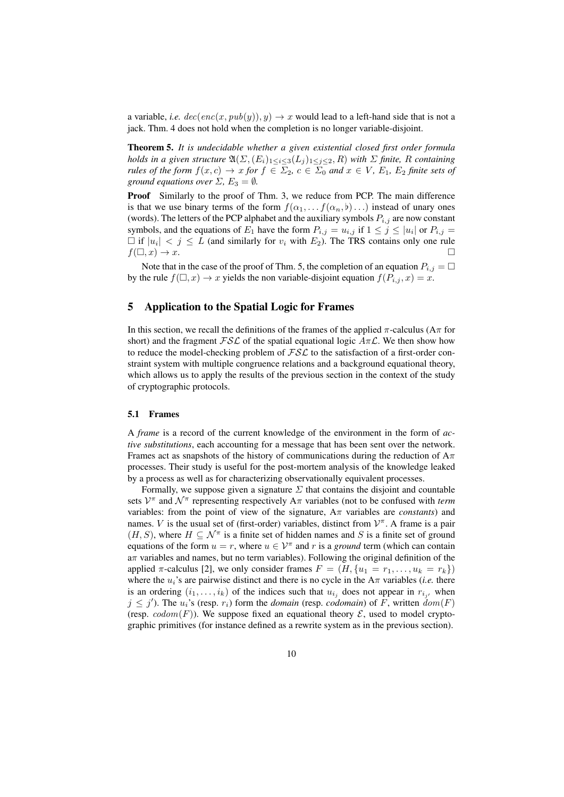a variable, *i.e.*  $dec(enc(x, pub(y)), y) \rightarrow x$  would lead to a left-hand side that is not a jack. Thm. 4 does not hold when the completion is no longer variable-disjoint.

Theorem 5. *It is undecidable whether a given existential closed first order formula holds in a given structure*  $\mathfrak{A}(\Sigma, (E_i)_{1 \leq i \leq 3}(L_j)_{1 \leq j \leq 2}, R)$  *with*  $\Sigma$  *finite,* R *containing rules of the form*  $f(x, c) \to x$  *for*  $f \in \Sigma_2$ ,  $c \in \Sigma_0$  *and*  $x \in V$ ,  $E_1$ ,  $E_2$  *finite sets of ground equations over*  $\Sigma$ ,  $E_3 = \emptyset$ *.* 

**Proof** Similarly to the proof of Thm. 3, we reduce from PCP. The main difference is that we use binary terms of the form  $f(\alpha_1, \ldots, f(\alpha_n, \mathfrak{b}) \ldots)$  instead of unary ones (words). The letters of the PCP alphabet and the auxiliary symbols  $P_{i,j}$  are now constant symbols, and the equations of  $E_1$  have the form  $P_{i,j} = u_{i,j}$  if  $1 \le j \le |u_i|$  or  $P_{i,j} =$  $\Box$  if  $|u_i| < j \leq L$  (and similarly for  $v_i$  with  $E_2$ ). The TRS contains only one rule  $f(\Box, x) \rightarrow x$ .

Note that in the case of the proof of Thm. 5, the completion of an equation  $P_{i,j} = \Box$ by the rule  $f(\Box, x) \to x$  yields the non variable-disjoint equation  $f(P_{i,j}, x) = x$ .

# 5 Application to the Spatial Logic for Frames

In this section, we recall the definitions of the frames of the applied  $\pi$ -calculus ( $A\pi$  for short) and the fragment  $\mathcal{FSL}$  of the spatial equational logic  $A\pi\mathcal{L}$ . We then show how to reduce the model-checking problem of  $\mathcal{FSL}$  to the satisfaction of a first-order constraint system with multiple congruence relations and a background equational theory, which allows us to apply the results of the previous section in the context of the study of cryptographic protocols.

### 5.1 Frames

A *frame* is a record of the current knowledge of the environment in the form of *active substitutions*, each accounting for a message that has been sent over the network. Frames act as snapshots of the history of communications during the reduction of  $A_{\pi}$ processes. Their study is useful for the post-mortem analysis of the knowledge leaked by a process as well as for characterizing observationally equivalent processes.

Formally, we suppose given a signature  $\Sigma$  that contains the disjoint and countable sets  $V^{\pi}$  and  $\mathcal{N}^{\pi}$  representing respectively  $A\pi$  variables (not to be confused with *term* variables: from the point of view of the signature, Aπ variables are *constants*) and names. V is the usual set of (first-order) variables, distinct from  $\mathcal{V}^{\pi}$ . A frame is a pair  $(H, S)$ , where  $H \subseteq \mathcal{N}^{\pi}$  is a finite set of hidden names and S is a finite set of ground equations of the form  $u = r$ , where  $u \in \mathcal{V}^{\pi}$  and r is a *ground* term (which can contain aπ variables and names, but no term variables). Following the original definition of the applied  $\pi$ -calculus [2], we only consider frames  $F = (H, \{u_1 = r_1, \ldots, u_k = r_k\})$ where the  $u_i$ 's are pairwise distinct and there is no cycle in the  $A\pi$  variables (*i.e.* there is an ordering  $(i_1, \ldots, i_k)$  of the indices such that  $u_{i_j}$  does not appear in  $r_{i_{j'}}$  when  $j \leq j'$ ). The  $u_i$ 's (resp.  $r_i$ ) form the *domain* (resp. *codomain*) of F, written  $\text{dom}(F)$ (resp.  $codom(F)$ ). We suppose fixed an equational theory  $\mathcal{E}$ , used to model cryptographic primitives (for instance defined as a rewrite system as in the previous section).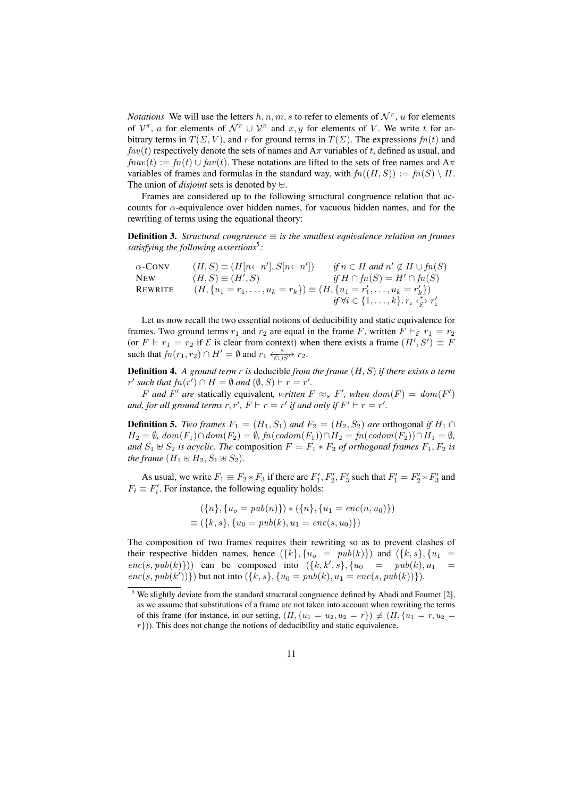*Notations* We will use the letters  $h, n, m, s$  to refer to elements of  $\mathcal{N}^{\pi}$ , u for elements of  $\mathcal{V}^{\pi}$ , a for elements of  $\mathcal{N}^{\pi} \cup \mathcal{V}^{\pi}$  and  $x, y$  for elements of V. We write t for arbitrary terms in  $T(\Sigma, V)$ , and r for ground terms in  $T(\Sigma)$ . The expressions  $fn(t)$  and  $fav(t)$  respectively denote the sets of names and  $A\pi$  variables of t, defined as usual, and  $f n a v(t) := f n(t) \cup f a v(t)$ . These notations are lifted to the sets of free names and  $A \pi$ variables of frames and formulas in the standard way, with  $fn((H, S)) := fn(S) \setminus H$ . The union of *disjoint* sets is denoted by  $\forall$ .

Frames are considered up to the following structural congruence relation that accounts for  $\alpha$ -equivalence over hidden names, for vacuous hidden names, and for the rewriting of terms using the equational theory:

**Definition 3.** *Structural congruence*  $\equiv$  *is the smallest equivalence relation on frames satisfying the following assertions*<sup>5</sup> *:*

$$
\begin{array}{ll}\n\alpha\text{-CONV} & (H, S) \equiv (H[n\leftarrow n'], S[n\leftarrow n']) & \text{if } n \in H \text{ and } n' \notin H \cup f n(S) \\
\text{NEW} & (H, S) \equiv (H', S) & \text{if } H \cap f n(S) = H' \cap f n(S) \\
\text{REWRITE} & (H, \{u_1 = r_1, \dots, u_k = r_k\}) \equiv (H, \{u_1 = r'_1, \dots, u_k = r'_k\}) \\
& \text{if } \forall i \in \{1, \dots, k\} \cdot r_i \stackrel{\star}{\underset{\sim}{\xi}} r'_i\n\end{array}
$$

Let us now recall the two essential notions of deducibility and static equivalence for frames. Two ground terms  $r_1$  and  $r_2$  are equal in the frame F, written  $F \vdash_{\mathcal{E}} r_1 = r_2$ (or  $F \vdash r_1 = r_2$  if  $\mathcal E$  is clear from context) when there exists a frame  $(H', S') \equiv F$ such that  $f_n(r_1, r_2) \cap H' = \emptyset$  and  $r_1 \xleftarrow{\ast} r_2$ .

Definition 4. *A ground term* r *is* deducible *from the frame* (H, S) *if there exists a term*  $r'$  such that  $fn(r') \cap H = \emptyset$  and  $(\emptyset, S) \vdash r = r'.$ 

F and F' are statically equivalent, written  $F \approx_s F'$ , when  $dom(F) = dom(F')$ *and, for all ground terms*  $r, r', F \vdash r = r'$  *if and only if*  $F' \vdash r = r'.$ 

**Definition 5.** *Two frames*  $F_1 = (H_1, S_1)$  *and*  $F_2 = (H_2, S_2)$  *are* orthogonal *if*  $H_1 \cap$  $H_2 = ∅, dom(F_1) ∩ dom(F_2) = ∅, fn(codom(F_1)) ∩ H_2 = fn(codom(F_2)) ∩ H_1 = ∅,$ *and*  $S_1 \oplus S_2$  *is acyclic. The composition*  $F = F_1 * F_2$  *of orthogonal frames*  $F_1, F_2$  *is the frame*  $(H_1 \oplus H_2, S_1 \oplus S_2)$ *.* 

As usual, we write  $F_1 \equiv F_2 * F_3$  if there are  $F'_1, F'_2, F'_3$  such that  $F'_1 = F'_2 * F'_3$  and  $F_i \equiv F'_i$ . For instance, the following equality holds:

$$
(\{n\}, \{u_o = pub(n)\}) * (\{n\}, \{u_1 = enc(n, u_0)\})
$$
  

$$
\equiv (\{k, s\}, \{u_0 = pub(k), u_1 = enc(s, u_0)\})
$$

The composition of two frames requires their rewriting so as to prevent clashes of their respective hidden names, hence  $({k}, {u<sub>o</sub>} = pub(k)})$  and  $({k}, s), {u<sub>1</sub>} =$  $enc(s, pub(k))$ ) can be composed into  $({k, k', s}, {u_0 = pub(k), u_1 = \text{sub(k)})})$  $enc(s, pub(k'))\})$  but not into  $({k, s}, {u_0 = pub(k), u_1 = enc(s, pub(k))}).$ 

<sup>&</sup>lt;sup>5</sup> We slightly deviate from the standard structural congruence defined by Abadi and Fournet [2], as we assume that substitutions of a frame are not taken into account when rewriting the terms of this frame (for instance, in our setting,  $(H, \{u_1 = u_2, u_2 = r\}) \not\equiv (H, \{u_1 = r, u_2 = r\})$  $r$ })). This does not change the notions of deducibility and static equivalence.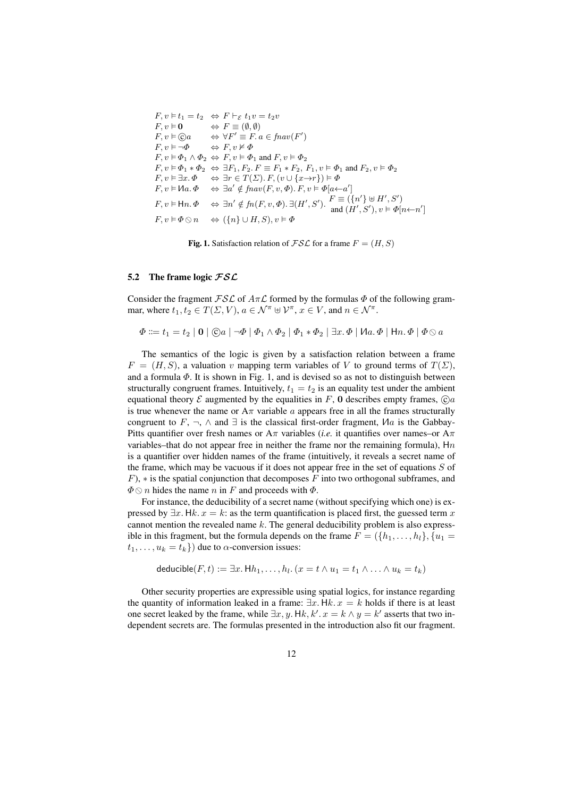$$
F, v \vDash t_1 = t_2 \Leftrightarrow F \vdash_{\varepsilon} t_1 v = t_2 v
$$
  
\n
$$
F, v \vDash \mathbf{0} \Leftrightarrow F \equiv (\emptyset, \emptyset)
$$
  
\n
$$
F, v \vDash \bigcirc \bigcirc a \Leftrightarrow \forall F' \equiv F. a \in \text{fnav}(F')
$$
  
\n
$$
F, v \vDash \neg \Phi \Leftrightarrow F, v \nvDash \Phi
$$
  
\n
$$
F, v \vDash \Phi_1 \wedge \Phi_2 \Leftrightarrow F, v \vDash \Phi_1 \text{ and } F, v \vDash \Phi_2
$$
  
\n
$$
F, v \vDash \Phi_1 * \Phi_2 \Leftrightarrow \exists F_1, F_2. F \equiv F_1 * F_2, F_1, v \vDash \Phi_1 \text{ and } F_2, v \vDash \Phi_2
$$
  
\n
$$
F, v \vDash \exists x. \Phi \Leftrightarrow \exists r \in T(\Sigma). F, (v \cup \{x \rightarrow r\}) \vDash \Phi
$$
  
\n
$$
F, v \vDash \text{Ha}. \Phi \Leftrightarrow \exists a' \notin \text{fnav}(F, v, \Phi). F, v \vDash \Phi[a \leftarrow a']
$$
  
\n
$$
F, v \vDash \text{Ha}. \Phi \Leftrightarrow \exists n' \notin \text{fn}(F, v, \Phi). \exists (H', S'). \quad F \equiv (\{n'\} \uplus H', S')
$$
  
\n
$$
F, v \vDash \Phi \otimes n \Leftrightarrow (\{n\} \cup H, S), v \vDash \Phi
$$

Fig. 1. Satisfaction relation of  $\mathcal{FSL}$  for a frame  $F = (H, S)$ 

### 5.2 The frame logic  $\mathcal{FSL}$

Consider the fragment  $\mathcal{FSL}$  of  $A\pi\mathcal{L}$  formed by the formulas  $\Phi$  of the following grammar, where  $t_1, t_2 \in T(\Sigma, V), a \in \mathcal{N}^{\pi} \oplus \mathcal{V}^{\pi}, x \in V$ , and  $n \in \mathcal{N}^{\pi}$ .

$$
\Phi ::= t_1 = t_2 \mid \mathbf{0} \mid \textcircled{0}a \mid \neg \Phi \mid \Phi_1 \land \Phi_2 \mid \Phi_1 * \Phi_2 \mid \exists x. \Phi \mid \text{Ma. } \Phi \mid \text{Hn. } \Phi \mid \Phi \otimes a
$$

The semantics of the logic is given by a satisfaction relation between a frame  $F = (H, S)$ , a valuation v mapping term variables of V to ground terms of  $T(\Sigma)$ , and a formula  $\Phi$ . It is shown in Fig. 1, and is devised so as not to distinguish between structurally congruent frames. Intuitively,  $t_1 = t_2$  is an equality test under the ambient equational theory  $\mathcal E$  augmented by the equalities in F, 0 describes empty frames,  $\mathcal C/a$ is true whenever the name or  $A\pi$  variable a appears free in all the frames structurally congruent to F,  $\neg$ ,  $\wedge$  and  $\exists$  is the classical first-order fragment,  $\mathcal{U}a$  is the Gabbay-Pitts quantifier over fresh names or  $A\pi$  variables (*i.e.* it quantifies over names–or  $A\pi$ variables–that do not appear free in neither the frame nor the remaining formula),  $Hn$ is a quantifier over hidden names of the frame (intuitively, it reveals a secret name of the frame, which may be vacuous if it does not appear free in the set of equations  $S$  of  $F$ ),  $*$  is the spatial conjunction that decomposes F into two orthogonal subframes, and  $\Phi \otimes n$  hides the name n in F and proceeds with  $\Phi$ .

For instance, the deducibility of a secret name (without specifying which one) is expressed by  $\exists x.$  Hk.  $x = k$ : as the term quantification is placed first, the guessed term x cannot mention the revealed name  $k$ . The general deducibility problem is also expressible in this fragment, but the formula depends on the frame  $F = (\{h_1, \ldots, h_l\}, \{u_1 =$  $t_1, \ldots, u_k = t_k$ ) due to  $\alpha$ -conversion issues:

deducible
$$
(F, t) := \exists x. \mathsf{H} h_1, \ldots, h_l \ldotp (x = t \land u_1 = t_1 \land \ldots \land u_k = t_k)
$$

Other security properties are expressible using spatial logics, for instance regarding the quantity of information leaked in a frame:  $\exists x.$  Hk.  $x = k$  holds if there is at least one secret leaked by the frame, while  $\exists x, y$ . Hk, k'.  $x = k \wedge y = k'$  asserts that two independent secrets are. The formulas presented in the introduction also fit our fragment.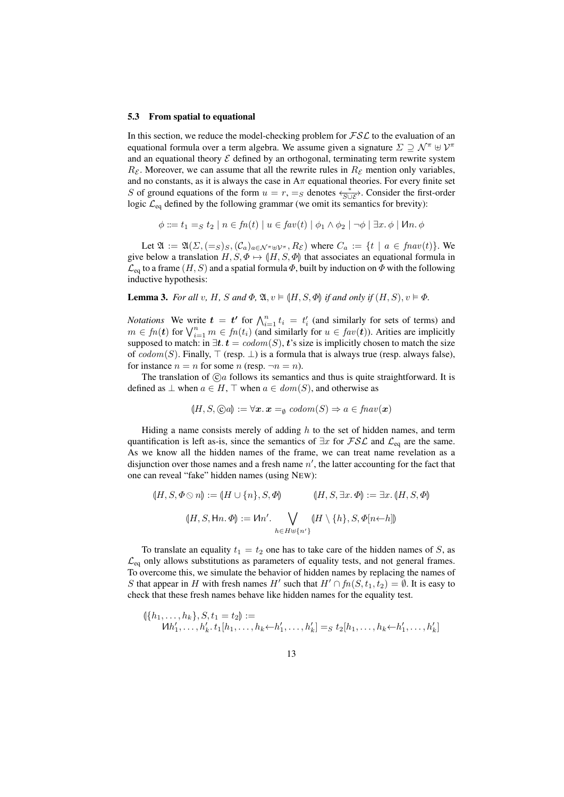#### 5.3 From spatial to equational

In this section, we reduce the model-checking problem for  $\mathcal{FSL}$  to the evaluation of an equational formula over a term algebra. We assume given a signature  $\Sigma \supseteq \mathcal{N}^{\pi} \oplus \mathcal{V}^{\pi}$ and an equational theory  $\mathcal E$  defined by an orthogonal, terminating term rewrite system  $R_{\mathcal{E}}$ . Moreover, we can assume that all the rewrite rules in  $R_{\mathcal{E}}$  mention only variables, and no constants, as it is always the case in  $A\pi$  equational theories. For every finite set S of ground equations of the form  $u = r$ ,  $=$ <sub>S</sub> denotes  $\leftarrow^*_{S \cup \mathcal{E}}$ . Consider the first-order logic  $\mathcal{L}_{eq}$  defined by the following grammar (we omit its semantics for brevity):

$$
\phi ::= t_1 =_S t_2 \mid n \in fn(t) \mid u \in fav(t) \mid \phi_1 \land \phi_2 \mid \neg \phi \mid \exists x. \phi \mid \mathcal{M}n. \phi
$$

Let  $\mathfrak{A} := \mathfrak{A}(\Sigma, (-s)_S, (\mathcal{C}_a)_{a \in \mathcal{N}^{\pi} \oplus \mathcal{V}^{\pi}}, R_{\varepsilon})$  where  $C_a := \{t \mid a \in \text{fnav}(t)\}.$  We give below a translation  $H, S, \Phi \mapsto (H, S, \Phi)$  that associates an equational formula in  $\mathcal{L}_{eq}$  to a frame  $(H, S)$  and a spatial formula  $\Phi$ , built by induction on  $\Phi$  with the following inductive hypothesis:

## **Lemma 3.** For all v, H, S and  $\Phi$ ,  $\mathfrak{A}$ ,  $v \models (\mathfrak{H}, S, \Phi)$  if and only if  $(H, S)$ ,  $v \models \Phi$ .

*Notations* We write  $t = t'$  for  $\bigwedge_{i=1}^{n} t_i = t'_i$  (and similarly for sets of terms) and  $m \in fn(t)$  for  $\bigvee_{i=1}^{n} m \in fn(t_i)$  (and similarly for  $u \in fav(t)$ ). Arities are implicitly supposed to match: in  $\exists t. t = codom(S), t$ 's size is implicitly chosen to match the size of  $codom(S)$ . Finally,  $\top$  (resp.  $\bot$ ) is a formula that is always true (resp. always false), for instance  $n = n$  for some n (resp.  $\neg n = n$ ).

The translation of  $\hat{c}$  a follows its semantics and thus is quite straightforward. It is defined as  $\bot$  when  $a \in H$ ,  $\top$  when  $a \in dom(S)$ , and otherwise as

$$
(\mathcal{H}, S, \mathbb{C}a) := \forall \mathbf{x}. \mathbf{x} =_{\emptyset} codom(S) \Rightarrow a \in \mathit{fnav}(\mathbf{x})
$$

Hiding a name consists merely of adding  $h$  to the set of hidden names, and term quantification is left as-is, since the semantics of  $\exists x$  for  $\mathcal{FSL}$  and  $\mathcal{L}_{eq}$  are the same. As we know all the hidden names of the frame, we can treat name revelation as a disjunction over those names and a fresh name  $n'$ , the latter accounting for the fact that one can reveal "fake" hidden names (using NEW):

$$
(H, S, \Phi \otimes n) := (H \cup \{n\}, S, \Phi) \qquad (H, S, \exists x. \Phi) := \exists x. (H, S, \Phi)
$$

$$
(H, S, \text{Hn.} \Phi) := \text{Mn'.} \bigvee_{h \in H \oplus \{n'\}} (H \setminus \{h\}, S, \Phi[n \leftarrow h])
$$

To translate an equality  $t_1 = t_2$  one has to take care of the hidden names of S, as  $\mathcal{L}_{eq}$  only allows substitutions as parameters of equality tests, and not general frames. To overcome this, we simulate the behavior of hidden names by replacing the names of S that appear in H with fresh names H' such that  $H' \cap fn(S, t_1, t_2) = \emptyset$ . It is easy to check that these fresh names behave like hidden names for the equality test.

$$
(\{h_1, \ldots, h_k\}, S, t_1 = t_2) :=
$$
  

$$
lh'_1, \ldots, h'_k, t_1[h_1, \ldots, h_k \leftarrow h'_1, \ldots, h'_k] =_S t_2[h_1, \ldots, h_k \leftarrow h'_1, \ldots, h'_k]
$$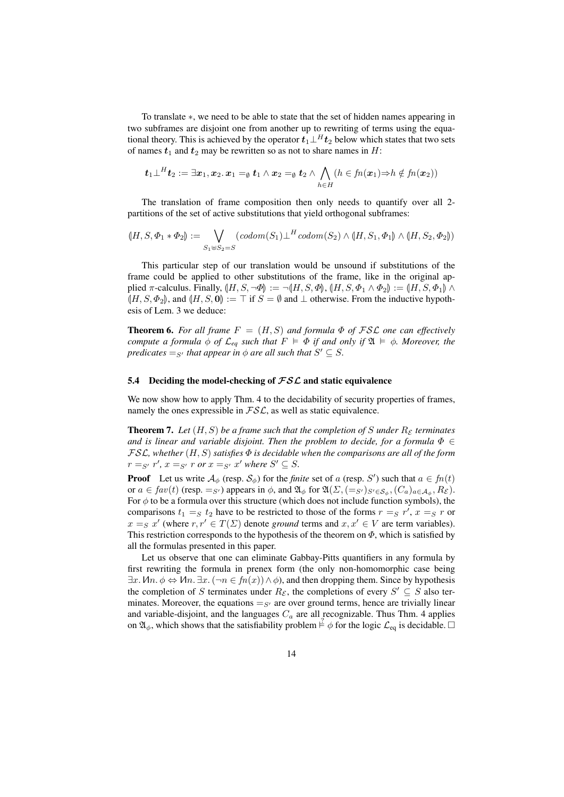To translate ∗, we need to be able to state that the set of hidden names appearing in two subframes are disjoint one from another up to rewriting of terms using the equational theory. This is achieved by the operator  $t_1\bot^H t_2$  below which states that two sets of names  $t_1$  and  $t_2$  may be rewritten so as not to share names in H:

$$
\boldsymbol{t}_1 \perp^H \boldsymbol{t}_2 := \exists \boldsymbol{x}_1, \boldsymbol{x}_2. \, \boldsymbol{x}_1 =_{\emptyset} \boldsymbol{t}_1 \wedge \boldsymbol{x}_2 =_{\emptyset} \boldsymbol{t}_2 \wedge \bigwedge_{h \in H} (h \in fn(\boldsymbol{x}_1) \Rightarrow h \notin fn(\boldsymbol{x}_2))
$$

The translation of frame composition then only needs to quantify over all 2 partitions of the set of active substitutions that yield orthogonal subframes:

$$
(H, S, \Phi_1 * \Phi_2) := \bigvee_{S_1 \uplus S_2 = S} (codom(S_1) \perp^H codom(S_2) \land (H, S_1, \Phi_1) \land (H, S_2, \Phi_2))
$$

This particular step of our translation would be unsound if substitutions of the frame could be applied to other substitutions of the frame, like in the original applied  $\pi$ -calculus. Finally,  $(H, S, \neg \Phi) := \neg(H, S, \Phi)$ ,  $(H, S, \Phi_1 \land \Phi_2) := (H, S, \Phi_1) \land$  $(H, S, \Phi_2)$ , and  $(H, S, 0) := \top$  if  $S = \emptyset$  and  $\bot$  otherwise. From the inductive hypothesis of Lem. 3 we deduce:

**Theorem 6.** For all frame  $F = (H, S)$  and formula  $\Phi$  of FSL one can effectively *compute a formula*  $\phi$  *of*  $\mathcal{L}_{eq}$  *such that*  $F \models \Phi$  *if and only if*  $\mathfrak{A} \models \phi$ *. Moreover, the predicates*  $=_{S'}$  *that appear in*  $\phi$  *are all such that*  $S' \subseteq S$ *.* 

#### 5.4 Deciding the model-checking of  $\mathcal{FSL}$  and static equivalence

We now show how to apply Thm. 4 to the decidability of security properties of frames, namely the ones expressible in  $\mathcal{FSL}$ , as well as static equivalence.

**Theorem 7.** Let  $(H, S)$  be a frame such that the completion of S under  $R_{\mathcal{E}}$  terminates *and is linear and variable disjoint. Then the problem to decide, for a formula*  $\Phi \in$ FSL*, whether* (H, S) *satisfies* Φ *is decidable when the comparisons are all of the form*  $r =_{S'} r'$ ,  $x =_{S'} r$  or  $x =_{S'} x'$  where  $S' \subseteq S$ .

**Proof** Let us write  $\mathcal{A}_{\phi}$  (resp.  $\mathcal{S}_{\phi}$ ) for the *finite* set of a (resp. S') such that  $a \in fn(t)$ or  $a \in fav(t)$  (resp.  $=_S'$ ) appears in  $\phi$ , and  $\mathfrak{A}_{\phi}$  for  $\mathfrak{A}(\Sigma, (=_{S'})_{S' \in S_{\phi}}, (C_a)_{a \in A_{\phi}}, R_{\mathcal{E}})$ . For  $\phi$  to be a formula over this structure (which does not include function symbols), the comparisons  $t_1 = S t_2$  have to be restricted to those of the forms  $r = S r'$ ,  $x = S r$  or  $x =_S x'$  (where  $r, r' \in T(\Sigma)$  denote *ground* terms and  $x, x' \in V$  are term variables). This restriction corresponds to the hypothesis of the theorem on  $\Phi$ , which is satisfied by all the formulas presented in this paper.

Let us observe that one can eliminate Gabbay-Pitts quantifiers in any formula by first rewriting the formula in prenex form (the only non-homomorphic case being  $\exists x \, \mathcal{M} \land \phi \Leftrightarrow \mathcal{M} \land \exists x \, (\neg n \in \mathit{fn}(x)) \land \phi$ , and then dropping them. Since by hypothesis the completion of S terminates under  $R_{\mathcal{E}}$ , the completions of every  $S' \subseteq S$  also terminates. Moreover, the equations  $=_{S'}$  are over ground terms, hence are trivially linear and variable-disjoint, and the languages  $C_a$  are all recognizable. Thus Thm. 4 applies on  $\mathfrak{A}_{\phi}$ , which shows that the satisfiability problem  $\hat{\pm} \phi$  for the logic  $\mathcal{L}_{eq}$  is decidable.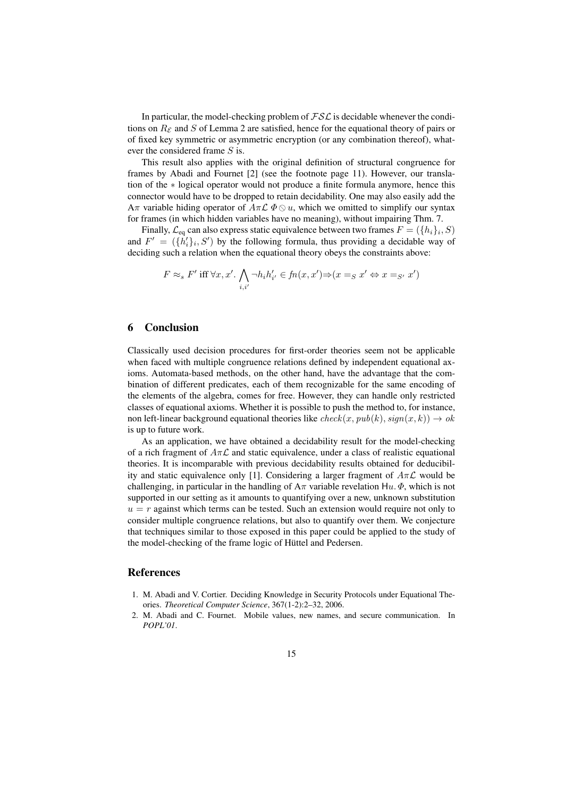In particular, the model-checking problem of  $\mathcal{FSL}$  is decidable whenever the conditions on  $R_{\mathcal{E}}$  and S of Lemma 2 are satisfied, hence for the equational theory of pairs or of fixed key symmetric or asymmetric encryption (or any combination thereof), whatever the considered frame S is.

This result also applies with the original definition of structural congruence for frames by Abadi and Fournet [2] (see the footnote page 11). However, our translation of the ∗ logical operator would not produce a finite formula anymore, hence this connector would have to be dropped to retain decidability. One may also easily add the Aπ variable hiding operator of  $A\pi\mathcal{L}\Phi\otimes u$ , which we omitted to simplify our syntax for frames (in which hidden variables have no meaning), without impairing Thm. 7.

Finally,  $\mathcal{L}_{eq}$  can also express static equivalence between two frames  $F = (\{h_i\}_i, S)$ and  $F' = (\lbrace h'_i \rbrace_i, S')$  by the following formula, thus providing a decidable way of deciding such a relation when the equational theory obeys the constraints above:

$$
F \approx_s F' \text{ iff } \forall x, x'. \bigwedge_{i,i'} \neg h_i h'_{i'} \in fn(x, x') \Rightarrow (x =_S x' \Leftrightarrow x =_{S'} x')
$$

# 6 Conclusion

Classically used decision procedures for first-order theories seem not be applicable when faced with multiple congruence relations defined by independent equational axioms. Automata-based methods, on the other hand, have the advantage that the combination of different predicates, each of them recognizable for the same encoding of the elements of the algebra, comes for free. However, they can handle only restricted classes of equational axioms. Whether it is possible to push the method to, for instance, non left-linear background equational theories like  $check(x, pub(k), sign(x, k)) \rightarrow ok$ is up to future work.

As an application, we have obtained a decidability result for the model-checking of a rich fragment of  $A\pi\mathcal{L}$  and static equivalence, under a class of realistic equational theories. It is incomparable with previous decidability results obtained for deducibility and static equivalence only [1]. Considering a larger fragment of  $A\pi\mathcal{L}$  would be challenging, in particular in the handling of  $A\pi$  variable revelation  $Hu, \Phi$ , which is not supported in our setting as it amounts to quantifying over a new, unknown substitution  $u = r$  against which terms can be tested. Such an extension would require not only to consider multiple congruence relations, but also to quantify over them. We conjecture that techniques similar to those exposed in this paper could be applied to the study of the model-checking of the frame logic of Hüttel and Pedersen.

#### References

- 1. M. Abadi and V. Cortier. Deciding Knowledge in Security Protocols under Equational Theories. *Theoretical Computer Science*, 367(1-2):2–32, 2006.
- 2. M. Abadi and C. Fournet. Mobile values, new names, and secure communication. In *POPL'01*.